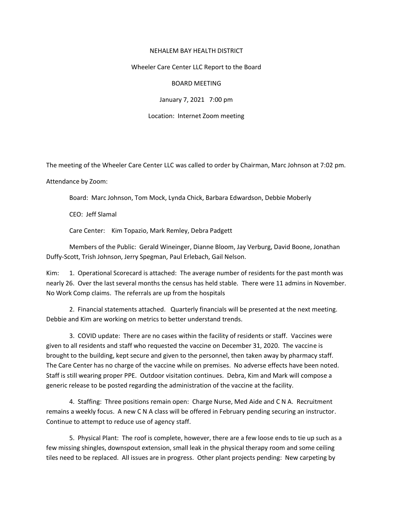## NEHALEM BAY HEALTH DISTRICT

## Wheeler Care Center LLC Report to the Board

## BOARD MEETING

January 7, 2021 7:00 pm

Location: Internet Zoom meeting

The meeting of the Wheeler Care Center LLC was called to order by Chairman, Marc Johnson at 7:02 pm.

Attendance by Zoom:

Board: Marc Johnson, Tom Mock, Lynda Chick, Barbara Edwardson, Debbie Moberly

CEO: Jeff Slamal

Care Center: Kim Topazio, Mark Remley, Debra Padgett

Members of the Public: Gerald Wineinger, Dianne Bloom, Jay Verburg, David Boone, Jonathan Duffy-Scott, Trish Johnson, Jerry Spegman, Paul Erlebach, Gail Nelson.

Kim: 1. Operational Scorecard is attached: The average number of residents for the past month was nearly 26. Over the last several months the census has held stable. There were 11 admins in November. No Work Comp claims. The referrals are up from the hospitals

2. Financial statements attached. Quarterly financials will be presented at the next meeting. Debbie and Kim are working on metrics to better understand trends.

3. COVID update: There are no cases within the facility of residents or staff. Vaccines were given to all residents and staff who requested the vaccine on December 31, 2020. The vaccine is brought to the building, kept secure and given to the personnel, then taken away by pharmacy staff. The Care Center has no charge of the vaccine while on premises. No adverse effects have been noted. Staff is still wearing proper PPE. Outdoor visitation continues. Debra, Kim and Mark will compose a generic release to be posted regarding the administration of the vaccine at the facility.

4. Staffing: Three positions remain open: Charge Nurse, Med Aide and C N A. Recruitment remains a weekly focus. A new C N A class will be offered in February pending securing an instructor. Continue to attempt to reduce use of agency staff.

5. Physical Plant: The roof is complete, however, there are a few loose ends to tie up such as a few missing shingles, downspout extension, small leak in the physical therapy room and some ceiling tiles need to be replaced. All issues are in progress. Other plant projects pending: New carpeting by